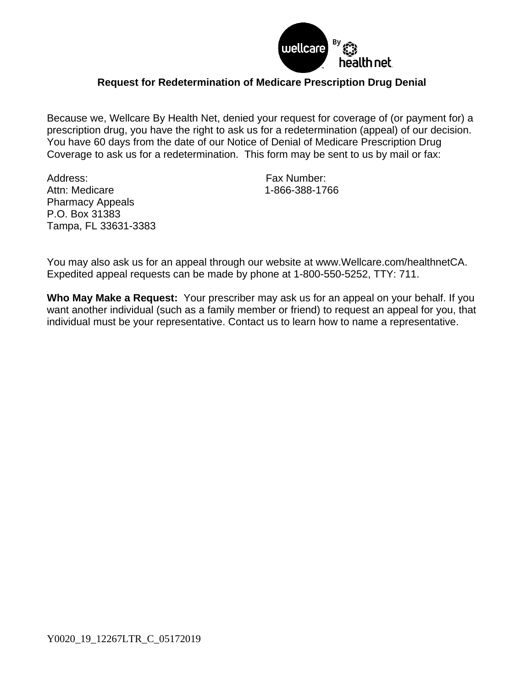

## **Request for Redetermination of Medicare Prescription Drug Denial**

Because we, Wellcare By Health Net, denied your request for coverage of (or payment for) a prescription drug, you have the right to ask us for a redetermination (appeal) of our decision. You have 60 days from the date of our Notice of Denial of Medicare Prescription Drug Coverage to ask us for a redetermination. This form may be sent to us by mail or fax:

Address: Fax Number: Attn: Medicare 1-866-388-1766 Pharmacy Appeals P.O. Box 31383 Tampa, FL 33631-3383

You may also ask us for an appeal through our website at www.Wellcare.com/healthnetCA. Expedited appeal requests can be made by phone at 1-800-550-5252, TTY: 711.

**Who May Make a Request:** Your prescriber may ask us for an appeal on your behalf. If you want another individual (such as a family member or friend) to request an appeal for you, that individual must be your representative. Contact us to learn how to name a representative.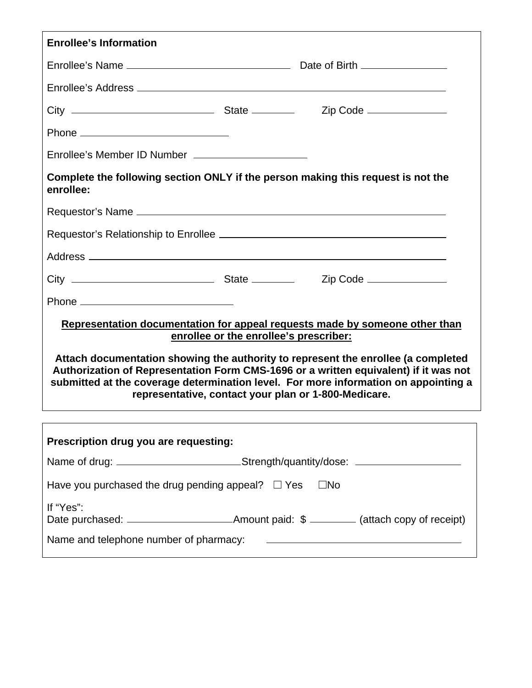| <b>Enrollee's Information</b>                                                                                                                                                                                                                                                                                            |  |  |  |
|--------------------------------------------------------------------------------------------------------------------------------------------------------------------------------------------------------------------------------------------------------------------------------------------------------------------------|--|--|--|
|                                                                                                                                                                                                                                                                                                                          |  |  |  |
|                                                                                                                                                                                                                                                                                                                          |  |  |  |
|                                                                                                                                                                                                                                                                                                                          |  |  |  |
|                                                                                                                                                                                                                                                                                                                          |  |  |  |
| Enrollee's Member ID Number ________________________                                                                                                                                                                                                                                                                     |  |  |  |
| Complete the following section ONLY if the person making this request is not the<br>enrollee:                                                                                                                                                                                                                            |  |  |  |
|                                                                                                                                                                                                                                                                                                                          |  |  |  |
|                                                                                                                                                                                                                                                                                                                          |  |  |  |
|                                                                                                                                                                                                                                                                                                                          |  |  |  |
|                                                                                                                                                                                                                                                                                                                          |  |  |  |
|                                                                                                                                                                                                                                                                                                                          |  |  |  |
| Representation documentation for appeal requests made by someone other than<br>enrollee or the enrollee's prescriber:                                                                                                                                                                                                    |  |  |  |
| Attach documentation showing the authority to represent the enrollee (a completed<br>Authorization of Representation Form CMS-1696 or a written equivalent) if it was not<br>submitted at the coverage determination level. For more information on appointing a<br>representative, contact your plan or 1-800-Medicare. |  |  |  |
| Prescription drug you are requesting:                                                                                                                                                                                                                                                                                    |  |  |  |
| Name of drug: ______________________________Strength/quantity/dose: _____________                                                                                                                                                                                                                                        |  |  |  |
| Have you purchased the drug pending appeal? $\Box$ Yes<br>$\square$ No                                                                                                                                                                                                                                                   |  |  |  |
| If "Yes":                                                                                                                                                                                                                                                                                                                |  |  |  |
|                                                                                                                                                                                                                                                                                                                          |  |  |  |